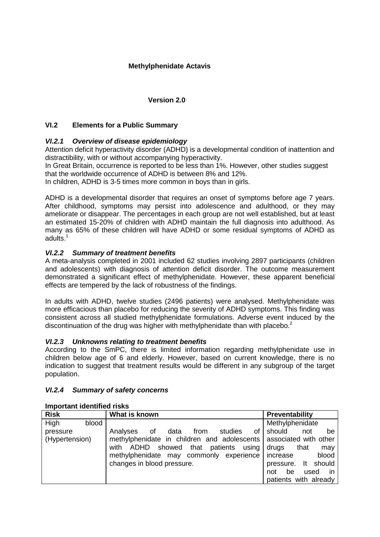## **Version 2.0**

## **VI.2 Elements for a Public Summary**

# *VI.2.1 Overview of disease epidemiology*

Attention deficit hyperactivity disorder (ADHD) is a developmental condition of inattention and distractibility, with or without accompanying hyperactivity.

In Great Britain, occurrence is reported to be less than 1%. However, other studies suggest that the worldwide occurrence of ADHD is between 8% and 12%.

In children, ADHD is 3-5 times more common in boys than in girls.

ADHD is a developmental disorder that requires an onset of symptoms before age 7 years. After childhood, symptoms may persist into adolescence and adulthood, or they may ameliorate or disappear. The percentages in each group are not well established, but at least an estimated 15-20% of children with ADHD maintain the full diagnosis into adulthood. As many as 65% of these children will have ADHD or some residual symptoms of ADHD as adults.<sup>1</sup>

### *VI.2.2 Summary of treatment benefits*

A meta-analysis completed in 2001 included 62 studies involving 2897 participants (children and adolescents) with diagnosis of attention deficit disorder. The outcome measurement demonstrated a significant effect of methylphenidate. However, these apparent beneficial effects are tempered by the lack of robustness of the findings.

In adults with ADHD, twelve studies (2496 patients) were analysed. Methylphenidate was more efficacious than placebo for reducing the severity of ADHD symptoms. This finding was consistent across all studied methylphenidate formulations. Adverse event induced by the discontinuation of the drug was higher with methylphenidate than with placebo.<sup>2</sup>

### *VI.2.3 Unknowns relating to treatment benefits*

According to the SmPC, there is limited information regarding methylphenidate use in children below age of 6 and elderly. However, based on current knowledge, there is no indication to suggest that treatment results would be different in any subgroup of the target population.

### *VI.2.4 Summary of safety concerns*

| <b>Risk</b>    | What is known                                                     | <b>Preventability</b>      |  |
|----------------|-------------------------------------------------------------------|----------------------------|--|
| High<br>blood  |                                                                   | Methylphenidate            |  |
| pressure       | οf<br>data<br>from<br>studies<br>Analyses<br>0f                   | should<br>not<br>be        |  |
| (Hypertension) | methylphenidate in children and adolescents associated with other |                            |  |
|                | ADHD showed that patients<br>using<br>with                        | drugs<br>that<br>may       |  |
|                | methylphenidate may commonly experience                           | blood<br>increase          |  |
|                | changes in blood pressure.                                        | should<br>pressure. It     |  |
|                |                                                                   | be<br>used<br>in in<br>not |  |
|                |                                                                   | patients with already      |  |

#### **Important identified risks**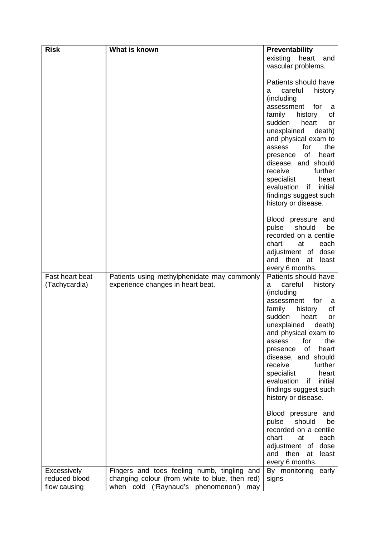| <b>Risk</b>     | What is known                                  | Preventability                                   |
|-----------------|------------------------------------------------|--------------------------------------------------|
|                 |                                                | existing<br>heart<br>and                         |
|                 |                                                | vascular problems.                               |
|                 |                                                |                                                  |
|                 |                                                | Patients should have                             |
|                 |                                                | careful<br>history<br>а                          |
|                 |                                                | (including                                       |
|                 |                                                | for<br>assessment<br>a                           |
|                 |                                                | family<br>history<br>of<br>sudden<br>heart<br>or |
|                 |                                                | unexplained<br>death)                            |
|                 |                                                | and physical exam to                             |
|                 |                                                | for<br>the<br>assess                             |
|                 |                                                | of<br>heart<br>presence                          |
|                 |                                                | disease, and should                              |
|                 |                                                | receive<br>further                               |
|                 |                                                | specialist<br>heart                              |
|                 |                                                | initial<br>evaluation<br>if.                     |
|                 |                                                | findings suggest such                            |
|                 |                                                | history or disease.                              |
|                 |                                                | Blood pressure and<br>should<br>pulse<br>be      |
|                 |                                                | recorded on a centile                            |
|                 |                                                | chart<br>each<br>at                              |
|                 |                                                | adjustment of<br>dose                            |
|                 |                                                | then<br>and<br>at<br>least                       |
|                 |                                                | every 6 months.                                  |
| Fast heart beat | Patients using methylphenidate may commonly    | Patients should have                             |
| (Tachycardia)   | experience changes in heart beat.              | careful<br>history<br>а<br>(including            |
|                 |                                                | for<br>assessment<br>a                           |
|                 |                                                | family<br>history<br>of                          |
|                 |                                                | sudden<br>heart<br>or                            |
|                 |                                                | unexplained<br>death)                            |
|                 |                                                | and physical exam to                             |
|                 |                                                | for<br>the<br>assess                             |
|                 |                                                | of<br>heart<br>presence                          |
|                 |                                                | disease, and should                              |
|                 |                                                | receive<br>further<br>specialist<br>heart        |
|                 |                                                | evaluation<br>initial<br>if.                     |
|                 |                                                | findings suggest such                            |
|                 |                                                | history or disease.                              |
|                 |                                                | Blood pressure and                               |
|                 |                                                | be<br>pulse<br>should                            |
|                 |                                                | recorded on a centile                            |
|                 |                                                | chart<br>at<br>each                              |
|                 |                                                | adjustment of<br>dose<br>and then<br>at<br>least |
|                 |                                                | every 6 months.                                  |
| Excessively     | Fingers and toes feeling numb, tingling and    | By monitoring<br>early                           |
| reduced blood   | changing colour (from white to blue, then red) | signs                                            |
| flow causing    | when cold ('Raynaud's phenomenon')<br>may      |                                                  |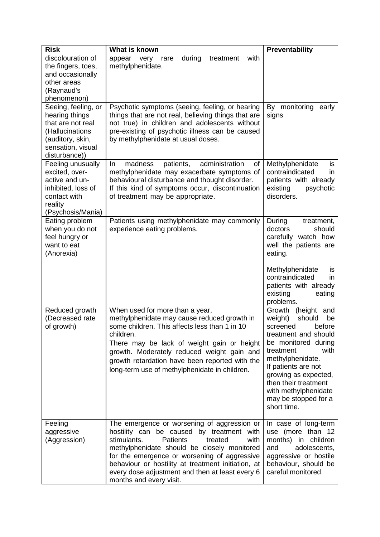| <b>Risk</b>                                                                                                                             | What is known                                                                                                                                                                                                                                                                                                                                                                    | Preventability                                                                                                                                                                                                                                                                                          |
|-----------------------------------------------------------------------------------------------------------------------------------------|----------------------------------------------------------------------------------------------------------------------------------------------------------------------------------------------------------------------------------------------------------------------------------------------------------------------------------------------------------------------------------|---------------------------------------------------------------------------------------------------------------------------------------------------------------------------------------------------------------------------------------------------------------------------------------------------------|
| discolouration of<br>the fingers, toes,<br>and occasionally<br>other areas<br>(Raynaud's<br>phenomenon)                                 | appear<br>during<br>treatment<br>with<br>very<br>rare<br>methylphenidate.                                                                                                                                                                                                                                                                                                        |                                                                                                                                                                                                                                                                                                         |
| Seeing, feeling, or<br>hearing things<br>that are not real<br>(Hallucinations<br>(auditory, skin,<br>sensation, visual<br>disturbance)) | Psychotic symptoms (seeing, feeling, or hearing<br>things that are not real, believing things that are<br>not true) in children and adolescents without<br>pre-existing of psychotic illness can be caused<br>by methylphenidate at usual doses.                                                                                                                                 | monitoring<br>By<br>early<br>signs                                                                                                                                                                                                                                                                      |
| Feeling unusually<br>excited, over-<br>active and un-<br>inhibited, loss of<br>contact with<br>reality<br>(Psychosis/Mania)             | administration<br>of<br>In.<br>madness<br>patients,<br>methylphenidate may exacerbate symptoms of<br>behavioural disturbance and thought disorder.<br>If this kind of symptoms occur, discontinuation<br>of treatment may be appropriate.                                                                                                                                        | Methylphenidate<br>is<br>contraindicated<br>in.<br>patients with already<br>existing<br>psychotic<br>disorders.                                                                                                                                                                                         |
| Eating problem<br>when you do not<br>feel hungry or<br>want to eat<br>(Anorexia)                                                        | Patients using methylphenidate may commonly<br>experience eating problems.                                                                                                                                                                                                                                                                                                       | During<br>treatment,<br>doctors<br>should<br>carefully watch how<br>well the patients are<br>eating.<br>Methylphenidate<br>IS.<br>contraindicated<br>in.<br>patients with already<br>existing<br>eating<br>problems.                                                                                    |
| Reduced growth<br>(Decreased rate<br>of growth)                                                                                         | When used for more than a year,<br>methylphenidate may cause reduced growth in<br>some children. This affects less than 1 in 10<br>children.<br>There may be lack of weight gain or height<br>growth. Moderately reduced weight gain and<br>growth retardation have been reported with the<br>long-term use of methylphenidate in children.                                      | Growth<br>(height<br>and<br>should<br>weight)<br>be<br>before<br>screened<br>treatment and should<br>be monitored during<br>with<br>treatment<br>methylphenidate.<br>If patients are not<br>growing as expected,<br>then their treatment<br>with methylphenidate<br>may be stopped for a<br>short time. |
| Feeling<br>aggressive<br>(Aggression)                                                                                                   | The emergence or worsening of aggression or<br>hostility can be caused by treatment with<br>stimulants.<br><b>Patients</b><br>treated<br>with<br>methylphenidate should be closely monitored<br>for the emergence or worsening of aggressive<br>behaviour or hostility at treatment initiation, at<br>every dose adjustment and then at least every 6<br>months and every visit. | In case of long-term<br>use (more than 12<br>months) in children<br>adolescents,<br>and<br>aggressive or hostile<br>behaviour, should be<br>careful monitored.                                                                                                                                          |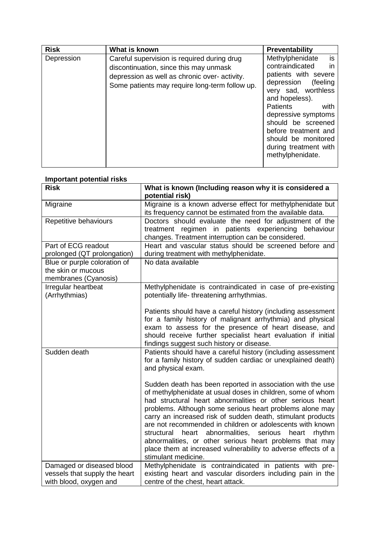| <b>Risk</b> | What is known                                                                                                                                                                            | Preventability                                                                                                                                                                                                                                                                                         |
|-------------|------------------------------------------------------------------------------------------------------------------------------------------------------------------------------------------|--------------------------------------------------------------------------------------------------------------------------------------------------------------------------------------------------------------------------------------------------------------------------------------------------------|
| Depression  | Careful supervision is required during drug<br>discontinuation, since this may unmask<br>depression as well as chronic over- activity.<br>Some patients may require long-term follow up. | is<br>Methylphenidate<br>contraindicated<br>in<br>patients with severe<br>depression<br>(feeling<br>very sad, worthless<br>and hopeless).<br>Patients<br>with<br>depressive symptoms<br>should be screened<br>before treatment and<br>should be monitored<br>during treatment with<br>methylphenidate. |

# **Important potential risks Risk What is known (Including reason why it is considered a potential risk)** Migraine Migraine is a known adverse effect for methylphenidate but its frequency cannot be estimated from the available data. Repetitive behaviours Doctors should evaluate the need for adjustment of the treatment regimen in patients experiencing behaviour changes. Treatment interruption can be considered. Part of ECG readout Heart and vascular status should be screened before and No data available

| prolonged (QT prolongation)                                                          | during treatment with methylphenidate.                                                                                                                                                                                                                                                                                                                                                                                                                                                                                                                                                          |  |
|--------------------------------------------------------------------------------------|-------------------------------------------------------------------------------------------------------------------------------------------------------------------------------------------------------------------------------------------------------------------------------------------------------------------------------------------------------------------------------------------------------------------------------------------------------------------------------------------------------------------------------------------------------------------------------------------------|--|
| Blue or purple coloration of<br>the skin or mucous<br>membranes (Cyanosis)           | No data available                                                                                                                                                                                                                                                                                                                                                                                                                                                                                                                                                                               |  |
| Irregular heartbeat<br>(Arrhythmias)                                                 | Methylphenidate is contraindicated in case of pre-existing<br>potentially life- threatening arrhythmias.                                                                                                                                                                                                                                                                                                                                                                                                                                                                                        |  |
|                                                                                      | Patients should have a careful history (including assessment<br>for a family history of malignant arrhythmia) and physical<br>exam to assess for the presence of heart disease, and<br>should receive further specialist heart evaluation if initial<br>findings suggest such history or disease.                                                                                                                                                                                                                                                                                               |  |
| Sudden death                                                                         | Patients should have a careful history (including assessment<br>for a family history of sudden cardiac or unexplained death)<br>and physical exam.                                                                                                                                                                                                                                                                                                                                                                                                                                              |  |
|                                                                                      | Sudden death has been reported in association with the use<br>of methylphenidate at usual doses in children, some of whom<br>had structural heart abnormalities or other serious heart<br>problems. Although some serious heart problems alone may<br>carry an increased risk of sudden death, stimulant products<br>are not recommended in children or adolescents with known<br>structural heart abnormalities, serious<br>heart<br>rhythm<br>abnormalities, or other serious heart problems that may<br>place them at increased vulnerability to adverse effects of a<br>stimulant medicine. |  |
| Damaged or diseased blood<br>vessels that supply the heart<br>with blood, oxygen and | Methylphenidate is contraindicated in patients with pre-<br>existing heart and vascular disorders including pain in the<br>centre of the chest, heart attack.                                                                                                                                                                                                                                                                                                                                                                                                                                   |  |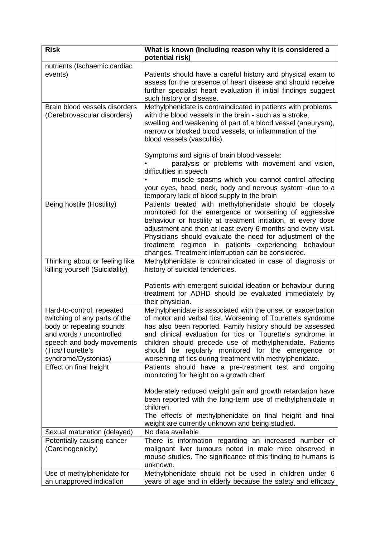| <b>Risk</b>                                                                                                                                                                                | What is known (Including reason why it is considered a<br>potential risk)                                                                                                                                                                                                                                                                                                                                                           |  |
|--------------------------------------------------------------------------------------------------------------------------------------------------------------------------------------------|-------------------------------------------------------------------------------------------------------------------------------------------------------------------------------------------------------------------------------------------------------------------------------------------------------------------------------------------------------------------------------------------------------------------------------------|--|
| nutrients (Ischaemic cardiac<br>events)                                                                                                                                                    | Patients should have a careful history and physical exam to<br>assess for the presence of heart disease and should receive<br>further specialist heart evaluation if initial findings suggest<br>such history or disease.                                                                                                                                                                                                           |  |
| Brain blood vessels disorders<br>(Cerebrovascular disorders)                                                                                                                               | Methylphenidate is contraindicated in patients with problems<br>with the blood vessels in the brain - such as a stroke,<br>swelling and weakening of part of a blood vessel (aneurysm),<br>narrow or blocked blood vessels, or inflammation of the<br>blood vessels (vasculitis).                                                                                                                                                   |  |
|                                                                                                                                                                                            | Symptoms and signs of brain blood vessels:<br>paralysis or problems with movement and vision,<br>difficulties in speech<br>muscle spasms which you cannot control affecting<br>your eyes, head, neck, body and nervous system -due to a<br>temporary lack of blood supply to the brain                                                                                                                                              |  |
| Being hostile (Hostility)                                                                                                                                                                  | Patients treated with methylphenidate should be closely<br>monitored for the emergence or worsening of aggressive<br>behaviour or hostility at treatment initiation, at every dose<br>adjustment and then at least every 6 months and every visit.<br>Physicians should evaluate the need for adjustment of the<br>regimen in patients experiencing<br>treatment<br>behaviour<br>changes. Treatment interruption can be considered. |  |
| Thinking about or feeling like<br>killing yourself (Suicidality)                                                                                                                           | Methylphenidate is contraindicated in case of diagnosis or<br>history of suicidal tendencies.                                                                                                                                                                                                                                                                                                                                       |  |
|                                                                                                                                                                                            | Patients with emergent suicidal ideation or behaviour during<br>treatment for ADHD should be evaluated immediately by<br>their physician.                                                                                                                                                                                                                                                                                           |  |
| Hard-to-control, repeated<br>twitching of any parts of the<br>body or repeating sounds<br>and words / uncontrolled<br>speech and body movements<br>(Tics/Tourette's<br>syndrome/Dystonias) | Methylphenidate is associated with the onset or exacerbation<br>of motor and verbal tics. Worsening of Tourette's syndrome<br>has also been reported. Family history should be assessed<br>and clinical evaluation for tics or Tourette's syndrome in<br>children should precede use of methylphenidate. Patients<br>should be regularly monitored for the emergence or<br>worsening of tics during treatment with methylphenidate. |  |
| Effect on final height                                                                                                                                                                     | Patients should have a pre-treatment test and ongoing<br>monitoring for height on a growth chart.                                                                                                                                                                                                                                                                                                                                   |  |
|                                                                                                                                                                                            | Moderately reduced weight gain and growth retardation have<br>been reported with the long-term use of methylphenidate in<br>children.<br>The effects of methylphenidate on final height and final<br>weight are currently unknown and being studied.                                                                                                                                                                                |  |
| Sexual maturation (delayed)                                                                                                                                                                | No data available                                                                                                                                                                                                                                                                                                                                                                                                                   |  |
| Potentially causing cancer<br>(Carcinogenicity)                                                                                                                                            | There is information regarding an increased number of<br>malignant liver tumours noted in male mice observed in<br>mouse studies. The significance of this finding to humans is<br>unknown.                                                                                                                                                                                                                                         |  |
| Use of methylphenidate for<br>an unapproved indication                                                                                                                                     | Methylphenidate should not be used in children under 6<br>years of age and in elderly because the safety and efficacy                                                                                                                                                                                                                                                                                                               |  |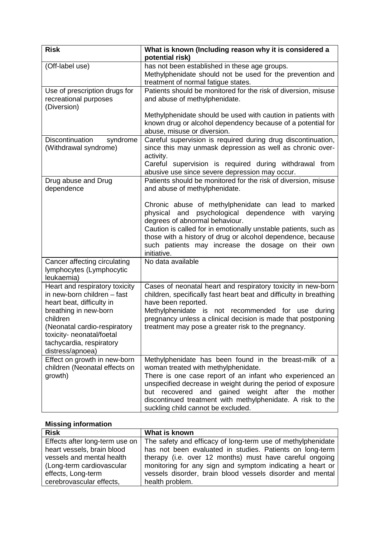| <b>Risk</b>                                                                                                                                                                                                                                  | What is known (Including reason why it is considered a<br>potential risk)                                                                                                                                                                                                                                                                                                               |  |
|----------------------------------------------------------------------------------------------------------------------------------------------------------------------------------------------------------------------------------------------|-----------------------------------------------------------------------------------------------------------------------------------------------------------------------------------------------------------------------------------------------------------------------------------------------------------------------------------------------------------------------------------------|--|
| (Off-label use)                                                                                                                                                                                                                              | has not been established in these age groups.<br>Methylphenidate should not be used for the prevention and<br>treatment of normal fatigue states.                                                                                                                                                                                                                                       |  |
| Use of prescription drugs for<br>recreational purposes<br>(Diversion)                                                                                                                                                                        | Patients should be monitored for the risk of diversion, misuse<br>and abuse of methylphenidate.                                                                                                                                                                                                                                                                                         |  |
|                                                                                                                                                                                                                                              | Methylphenidate should be used with caution in patients with<br>known drug or alcohol dependency because of a potential for<br>abuse, misuse or diversion.                                                                                                                                                                                                                              |  |
| Discontinuation<br>syndrome<br>(Withdrawal syndrome)                                                                                                                                                                                         | Careful supervision is required during drug discontinuation,<br>since this may unmask depression as well as chronic over-<br>activity.                                                                                                                                                                                                                                                  |  |
|                                                                                                                                                                                                                                              | Careful supervision is required during withdrawal from<br>abusive use since severe depression may occur.                                                                                                                                                                                                                                                                                |  |
| Drug abuse and Drug<br>dependence                                                                                                                                                                                                            | Patients should be monitored for the risk of diversion, misuse<br>and abuse of methylphenidate.                                                                                                                                                                                                                                                                                         |  |
|                                                                                                                                                                                                                                              | Chronic abuse of methylphenidate can lead to marked<br>and<br>psychological dependence<br>physical<br>varying<br>with<br>degrees of abnormal behaviour.<br>Caution is called for in emotionally unstable patients, such as<br>those with a history of drug or alcohol dependence, because<br>such patients may increase the dosage on their own<br>initiative.                          |  |
| Cancer affecting circulating<br>lymphocytes (Lymphocytic<br>leukaemia)                                                                                                                                                                       | No data available                                                                                                                                                                                                                                                                                                                                                                       |  |
| Heart and respiratory toxicity<br>in new-born children - fast<br>heart beat, difficulty in<br>breathing in new-born<br>children<br>(Neonatal cardio-respiratory<br>toxicity- neonatal/foetal<br>tachycardia, respiratory<br>distress/apnoea) | Cases of neonatal heart and respiratory toxicity in new-born<br>children, specifically fast heart beat and difficulty in breathing<br>have been reported.<br>Methylphenidate is not recommended for use<br>during<br>pregnancy unless a clinical decision is made that postponing<br>treatment may pose a greater risk to the pregnancy.                                                |  |
| Effect on growth in new-born<br>children (Neonatal effects on<br>growth)                                                                                                                                                                     | Methylphenidate has been found in the breast-milk of a<br>woman treated with methylphenidate.<br>There is one case report of an infant who experienced an<br>unspecified decrease in weight during the period of exposure<br>gained weight after the mother<br>recovered and<br>but<br>discontinued treatment with methylphenidate. A risk to the<br>suckling child cannot be excluded. |  |

# **Missing information**

| <b>Risk</b>                    | What is known                                               |
|--------------------------------|-------------------------------------------------------------|
| Effects after long-term use on | The safety and efficacy of long-term use of methylphenidate |
| heart vessels, brain blood     | has not been evaluated in studies. Patients on long-term    |
| vessels and mental health      | therapy (i.e. over 12 months) must have careful ongoing     |
| (Long-term cardiovascular      | monitoring for any sign and symptom indicating a heart or   |
| effects, Long-term             | vessels disorder, brain blood vessels disorder and mental   |
| cerebrovascular effects,       | health problem.                                             |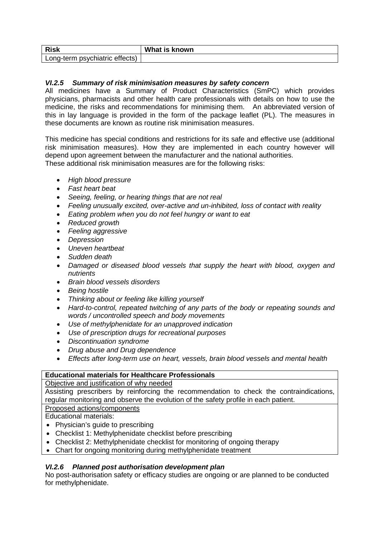| <b>Risk</b>                                | What is<br>s known |
|--------------------------------------------|--------------------|
| Long-term psychiatric<br>effects,<br>אייטם |                    |

# *VI.2.5 Summary of risk minimisation measures by safety concern*

All medicines have a Summary of Product Characteristics (SmPC) which provides physicians, pharmacists and other health care professionals with details on how to use the medicine, the risks and recommendations for minimising them. An abbreviated version of this in lay language is provided in the form of the package leaflet (PL). The measures in these documents are known as routine risk minimisation measures.

This medicine has special conditions and restrictions for its safe and effective use (additional risk minimisation measures). How they are implemented in each country however will depend upon agreement between the manufacturer and the national authorities. These additional risk minimisation measures are for the following risks:

- *High blood pressure*
- *Fast heart beat*
- *Seeing, feeling, or hearing things that are not real*
- *Feeling unusually excited, over-active and un-inhibited, loss of contact with reality*
- *Eating problem when you do not feel hungry or want to eat*
- *Reduced growth*
- *Feeling aggressive*
- *Depression*
- *Uneven heartbeat*
- *Sudden death*
- *Damaged or diseased blood vessels that supply the heart with blood, oxygen and nutrients*
- *Brain blood vessels disorders*
- *Being hostile*
- *Thinking about or feeling like killing yourself*
- *Hard-to-control, repeated twitching of any parts of the body or repeating sounds and words / uncontrolled speech and body movements*
- *Use of methylphenidate for an unapproved indication*
- *Use of prescription drugs for recreational purposes*
- *Discontinuation syndrome*
- *Drug abuse and Drug dependence*
- *Effects after long-term use on heart, vessels, brain blood vessels and mental health*

### **Educational materials for Healthcare Professionals**

### Objective and justification of why needed

Assisting prescribers by reinforcing the recommendation to check the contraindications, regular monitoring and observe the evolution of the safety profile in each patient.

Proposed actions/components

Educational materials:

- Physician's quide to prescribing
- Checklist 1: Methylphenidate checklist before prescribing
- Checklist 2: Methylphenidate checklist for monitoring of ongoing therapy
- Chart for ongoing monitoring during methylphenidate treatment

### *VI.2.6 Planned post authorisation development plan*

No post-authorisation safety or efficacy studies are ongoing or are planned to be conducted for methylphenidate.